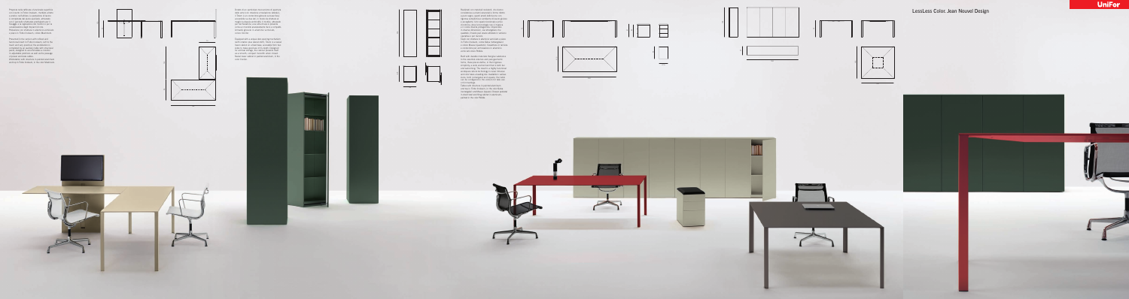Presented in the version with refined and functional insert in Forbo linoleum, soft to the touch and very practical, the workstation is completed by an auxiliary table with structural panel, designed to accommodate a monitor in adjustable positions as well as the passage of power and data cables. m

con inserto in Forbo linoleum, morbido al tatto e pratico nell'utilizzo, la postazione di lavoro è completata dal piano ausiliario, attrezzato con il pannello strutturale predisposto per il fissaggio e la regolazione del monitor e per la 120 canalizzazione degli impianti di rete. Postazione con struttura in alluminio verniciato 72 e piano in Forbo linoleum, colore Mushroom.

Workstation with structure in painted aluminum and top in Forbo linoleum, in the color Mushroom. Dotato di un particolare meccanismo di apertura delle ante (con rotazione e traslazione laterale), 203 il Totem è un contenitore girevole su base fissa accessibile su due lati, in modo da sfruttare al meglio la doppia profondità. Il mobile, attrezzato per l'archiviazione, una volta chiuso si presenta 120 come un monolito assolutamente liscio e compatto. 72 Armadio girevole in alluminio verniciato, colore Conifer.



![](_page_0_Figure_17.jpeg)

Realizzati con materiali resistenti, che danno consistenza a volumi essenziali e forme ridotte a puro segno, questi arredi definiscono con rigorosa semplicità un ambiente di lavoro gioioso e accogliente. Uno spazio funzionale e privo di retorica, dove la tecnologia non è invasiva e il colore diventa protagonista. Disponibile in diverse dimensioni, sia rettangolare che quadrato, il tavolo può essere utilizzato in versione operativa o per riunioni.

Equipped with a unique door-opening mechanism (with rotation plus lateral shift), Totem is a swivel tower cabinet on a fixed base, accessible from two sides to make good use of its depth. Designed for archival storage, the cabinet presents itself as a smooth, compact monolith when closed. Swivel tower cabinet in painted aluminum, in the color Conifer. 70

1

![](_page_0_Picture_6.jpeg)

Built with durable materials that give substance to the essential volumes and pure geometric forms, these pieces define, in their rigorous simplicity, a work environment that is both fun and welcoming. The result is a highly functional workspace where technology is never intrusive and color takes a leading role. Available in various sizes, both rectangular and square, the table can be configured in the version for task use or for meetings.

Tavoli con struttura in alluminio verniciato e piano in Forbo linoleum, colore Salsa (rettangolare) e colore Mauve (quadrato). Cassettiera in lamiera e contenitore per archiviazione in alluminio 72 verniciati colore Pebble. 54

Tables with structure in painted aluminum and top in Forbo linoleum, in the color Salsa (rectangular) and Mauve (square). Drawer pedestal in sheet steel and filing cabinet in aluminum, painted in the color Pebble.

![](_page_0_Figure_12.jpeg)

![](_page_0_Picture_13.jpeg)

![](_page_0_Picture_14.jpeg)

![](_page_0_Picture_15.jpeg)

<u> The Communication of the Communication of the Communication of the Communication of the Communication of the Communication of the Communication of the Communication of the Communication of the Communication of the Commun</u>

 $\frac{1}{11}$ 

72

![](_page_0_Figure_3.jpeg)

![](_page_0_Figure_7.jpeg)